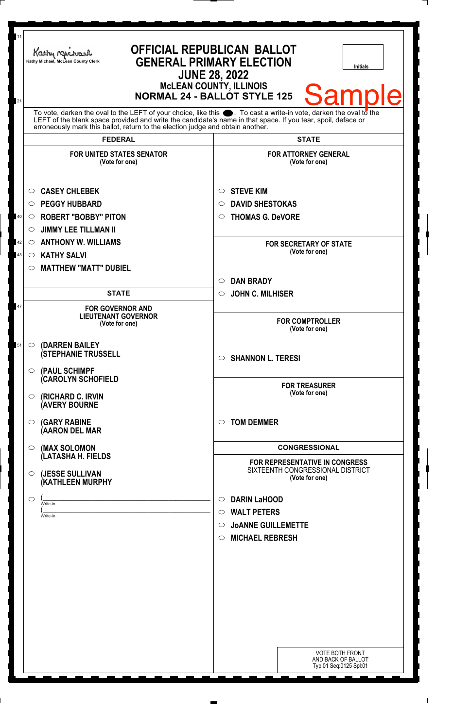| 11<br>21 | Kathy Muc<br>Kathy Michael, McLean County Clerk                                                                                                                                                                                                                                                                              | <b>OFFICIAL REPUBLICAN BALLOT</b><br><b>GENERAL PRIMARY ELECTION</b><br><b>Initials</b><br><b>JUNE 28, 2022</b><br><b>McLEAN COUNTY, ILLINOIS</b><br><b>Sample</b><br><b>NORMAL 24 - BALLOT STYLE 125</b> |
|----------|------------------------------------------------------------------------------------------------------------------------------------------------------------------------------------------------------------------------------------------------------------------------------------------------------------------------------|-----------------------------------------------------------------------------------------------------------------------------------------------------------------------------------------------------------|
|          | To vote, darken the oval to the LEFT of your choice, like this $\bullet$ . To cast a write-in vote, darken the oval to the<br>LEFT of the blank space provided and write the candidate's name in that space. If you tear, spoil, deface or<br>erroneously mark this ballot, return to the election judge and obtain another. |                                                                                                                                                                                                           |
|          | <b>FEDERAL</b><br><b>FOR UNITED STATES SENATOR</b>                                                                                                                                                                                                                                                                           | <b>STATE</b><br><b>FOR ATTORNEY GENERAL</b>                                                                                                                                                               |
|          | (Vote for one)                                                                                                                                                                                                                                                                                                               | (Vote for one)                                                                                                                                                                                            |
| 40       | <b>CASEY CHLEBEK</b><br>$\circ$<br><b>PEGGY HUBBARD</b><br>$\circ$<br><b>ROBERT "BOBBY" PITON</b><br>$\circ$<br><b>JIMMY LEE TILLMAN II</b><br>$\circ$                                                                                                                                                                       | <b>STEVE KIM</b><br>O<br><b>DAVID SHESTOKAS</b><br>$\circ$<br><b>THOMAS G. DeVORE</b><br>O                                                                                                                |
| 42<br>43 | <b>ANTHONY W. WILLIAMS</b><br>$\circ$<br><b>KATHY SALVI</b><br>$\circ$<br><b>MATTHEW "MATT" DUBIEL</b><br>$\circ$                                                                                                                                                                                                            | <b>FOR SECRETARY OF STATE</b><br>(Vote for one)                                                                                                                                                           |
|          | <b>STATE</b>                                                                                                                                                                                                                                                                                                                 | <b>DAN BRADY</b><br>$\circ$<br><b>JOHN C. MILHISER</b><br>$\circ$                                                                                                                                         |
| 47       | <b>FOR GOVERNOR AND</b><br><b>LIEUTENANT GOVERNOR</b><br>(Vote for one)                                                                                                                                                                                                                                                      | <b>FOR COMPTROLLER</b><br>(Vote for one)                                                                                                                                                                  |
| 51       | (DARREN BAILEY)<br>$\circ$<br><b>(STEPHANIE TRUSSELL</b><br>$\circ$ (PAUL SCHIMPF                                                                                                                                                                                                                                            | <b>SHANNON L. TERESI</b><br>$\bigcirc$                                                                                                                                                                    |
|          | <b>CAROLYN SCHOFIELD</b><br><b>(RICHARD C. IRVIN</b><br>$\circ$<br><b>(AVERY BOURNE</b>                                                                                                                                                                                                                                      | <b>FOR TREASURER</b><br>(Vote for one)                                                                                                                                                                    |
|          | <b>(GARY RABINE</b><br>$\circ$<br>(AARON DEL MAR                                                                                                                                                                                                                                                                             | <b>TOM DEMMER</b><br>$\circ$                                                                                                                                                                              |
|          | (MAX SOLOMON<br>$\circ$<br>(LATASHA H. FIELDS                                                                                                                                                                                                                                                                                | <b>CONGRESSIONAL</b>                                                                                                                                                                                      |
|          | (JESSE SULLIVAN<br>$\circ$<br>(KATHLEEN MURPHY                                                                                                                                                                                                                                                                               | <b>FOR REPRESENTATIVE IN CONGRESS</b><br>SIXTEENTH CONGRESSIONAL DISTRICT<br>(Vote for one)                                                                                                               |
|          | $\circ$<br>Write-in<br>Write-in                                                                                                                                                                                                                                                                                              | <b>DARIN LaHOOD</b><br>$\circ$<br><b>WALT PETERS</b><br>$\circ$<br><b>JOANNE GUILLEMETTE</b><br>$\circ$<br><b>MICHAEL REBRESH</b><br>◯                                                                    |
|          |                                                                                                                                                                                                                                                                                                                              |                                                                                                                                                                                                           |
|          |                                                                                                                                                                                                                                                                                                                              | <b>VOTE BOTH FRONT</b><br>AND BACK OF BALLOT<br>Typ:01 Seq:0125 Spl:01                                                                                                                                    |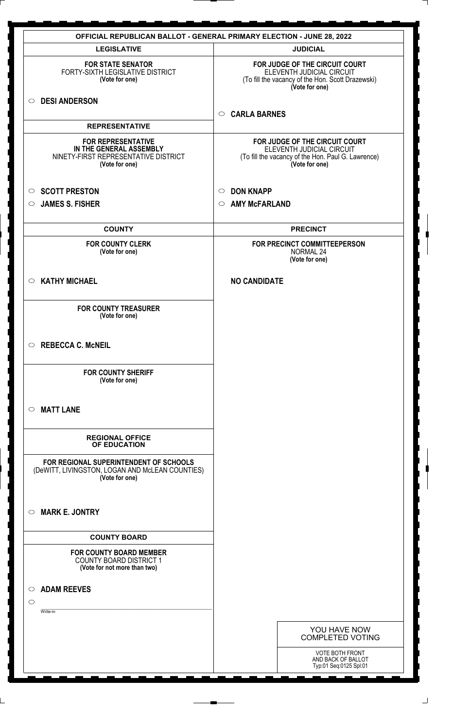| <b>OFFICIAL REPUBLICAN BALLOT - GENERAL PRIMARY ELECTION - JUNE 28, 2022</b>                                   |                                                                                                                                     |  |  |
|----------------------------------------------------------------------------------------------------------------|-------------------------------------------------------------------------------------------------------------------------------------|--|--|
| <b>LEGISLATIVE</b>                                                                                             | <b>JUDICIAL</b>                                                                                                                     |  |  |
| <b>FOR STATE SENATOR</b><br>FORTY-SIXTH LEGISLATIVE DISTRICT<br>(Vote for one)                                 | FOR JUDGE OF THE CIRCUIT COURT<br>ELEVENTH JUDICIAL CIRCUIT<br>(To fill the vacancy of the Hon. Scott Drazewski)<br>(Vote for one)  |  |  |
| ○ DESI ANDERSON                                                                                                | <b>CARLA BARNES</b><br>$\circ$                                                                                                      |  |  |
| <b>REPRESENTATIVE</b>                                                                                          |                                                                                                                                     |  |  |
| <b>FOR REPRESENTATIVE</b><br>IN THE GENERAL ASSEMBLY<br>NINETY-FIRST REPRESENTATIVE DISTRICT<br>(Vote for one) | FOR JUDGE OF THE CIRCUIT COURT<br>ELEVENTH JUDICIAL CIRCUIT<br>(To fill the vacancy of the Hon. Paul G. Lawrence)<br>(Vote for one) |  |  |
| <b>SCOTT PRESTON</b><br>$\circ$                                                                                | <b>DON KNAPP</b><br>$\circ$                                                                                                         |  |  |
| <b>JAMES S. FISHER</b><br>$\circ$                                                                              | <b>AMY McFARLAND</b><br>$\circ$                                                                                                     |  |  |
|                                                                                                                |                                                                                                                                     |  |  |
| <b>COUNTY</b>                                                                                                  | <b>PRECINCT</b>                                                                                                                     |  |  |
| <b>FOR COUNTY CLERK</b><br>(Vote for one)                                                                      | FOR PRECINCT COMMITTEEPERSON<br><b>NORMAL 24</b><br>(Vote for one)                                                                  |  |  |
| <b>KATHY MICHAEL</b><br>$\circ$                                                                                | <b>NO CANDIDATE</b>                                                                                                                 |  |  |
| <b>FOR COUNTY TREASURER</b><br>(Vote for one)                                                                  |                                                                                                                                     |  |  |
| $\circ$ REBECCA C. McNEIL                                                                                      |                                                                                                                                     |  |  |
| <b>FOR COUNTY SHERIFF</b><br>(Vote for one)                                                                    |                                                                                                                                     |  |  |
| <b>MATT LANE</b><br>$\circ$                                                                                    |                                                                                                                                     |  |  |
| <b>REGIONAL OFFICE</b><br>OF EDUCATION                                                                         |                                                                                                                                     |  |  |
| FOR REGIONAL SUPERINTENDENT OF SCHOOLS<br>(DeWITT, LIVINGSTON, LOGAN AND McLEAN COUNTIES)<br>(Vote for one)    |                                                                                                                                     |  |  |
| <b>MARK E. JONTRY</b><br>$\circ$                                                                               |                                                                                                                                     |  |  |
| <b>COUNTY BOARD</b>                                                                                            |                                                                                                                                     |  |  |
| <b>FOR COUNTY BOARD MEMBER</b><br>COUNTY BOARD DISTRICT 1<br>(Vote for not more than two)                      |                                                                                                                                     |  |  |
| <b>ADAM REEVES</b><br>$\circ$                                                                                  |                                                                                                                                     |  |  |
| $\circ$                                                                                                        |                                                                                                                                     |  |  |
| Write-in                                                                                                       |                                                                                                                                     |  |  |
|                                                                                                                | YOU HAVE NOW<br><b>COMPLETED VOTING</b>                                                                                             |  |  |
|                                                                                                                | <b>VOTE BOTH FRONT</b><br>AND BACK OF BALLOT<br>Typ:01 Seq:0125 Spl:01                                                              |  |  |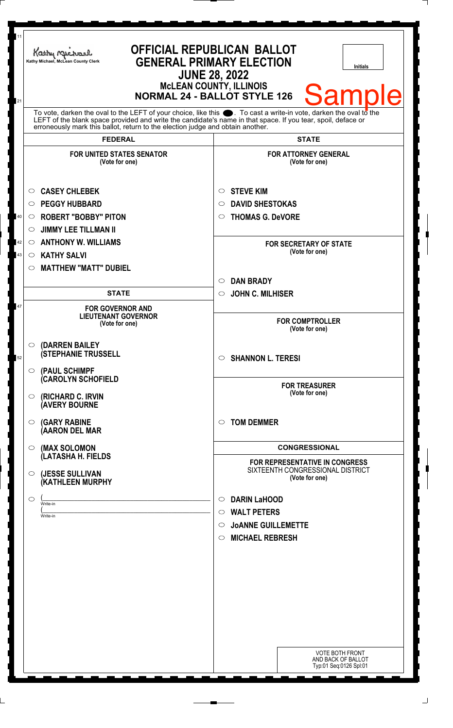| 11             | Kathy Mic<br>Kathy Michael, McLean County Clerk                                                                                                                                                                                                                                                                              | <b>OFFICIAL REPUBLICAN BALLOT</b><br><b>GENERAL PRIMARY ELECTION</b><br><b>Initials</b><br><b>JUNE 28, 2022</b><br><b>McLEAN COUNTY, ILLINOIS</b>                      |
|----------------|------------------------------------------------------------------------------------------------------------------------------------------------------------------------------------------------------------------------------------------------------------------------------------------------------------------------------|------------------------------------------------------------------------------------------------------------------------------------------------------------------------|
| 21             | To vote, darken the oval to the LEFT of your choice, like this $\bullet$ . To cast a write-in vote, darken the oval to the<br>LEFT of the blank space provided and write the candidate's name in that space. If you tear, spoil, deface or<br>erroneously mark this ballot, return to the election judge and obtain another. | <b>Sample</b><br><b>NORMAL 24 - BALLOT STYLE 126</b>                                                                                                                   |
|                | <b>FEDERAL</b>                                                                                                                                                                                                                                                                                                               | <b>STATE</b>                                                                                                                                                           |
|                | <b>FOR UNITED STATES SENATOR</b><br>(Vote for one)                                                                                                                                                                                                                                                                           | <b>FOR ATTORNEY GENERAL</b><br>(Vote for one)                                                                                                                          |
| 40<br>42<br>43 | <b>CASEY CHLEBEK</b><br>O<br><b>PEGGY HUBBARD</b><br>$\circ$<br><b>ROBERT "BOBBY" PITON</b><br>$\circ$<br><b>JIMMY LEE TILLMAN II</b><br>$\circlearrowright$<br><b>ANTHONY W. WILLIAMS</b><br>$\circ$<br><b>KATHY SALVI</b><br>$\circ$<br><b>MATTHEW "MATT" DUBIEL</b><br>$\circ$                                            | <b>STEVE KIM</b><br>O<br><b>DAVID SHESTOKAS</b><br>◯<br><b>THOMAS G. DeVORE</b><br>O<br><b>FOR SECRETARY OF STATE</b><br>(Vote for one)                                |
|                |                                                                                                                                                                                                                                                                                                                              | <b>DAN BRADY</b><br>$\circ$                                                                                                                                            |
|                | <b>STATE</b>                                                                                                                                                                                                                                                                                                                 | <b>JOHN C. MILHISER</b><br>$\circ$                                                                                                                                     |
| 47             | <b>FOR GOVERNOR AND</b><br><b>LIEUTENANT GOVERNOR</b><br>(Vote for one)                                                                                                                                                                                                                                                      | <b>FOR COMPTROLLER</b><br>(Vote for one)                                                                                                                               |
| 52             | $\circ$ (DARREN BAILEY<br><b>(STEPHANIE TRUSSELL</b><br>$\circ$ (PAUL SCHIMPF                                                                                                                                                                                                                                                | <b>SHANNON L. TERESI</b><br>$\circ$                                                                                                                                    |
|                | <b>(CAROLYN SCHOFIELD</b><br>$\circ$ (RICHARD C. IRVIN<br><b>(AVERY BOURNE</b>                                                                                                                                                                                                                                               | <b>FOR TREASURER</b><br>(Vote for one)                                                                                                                                 |
|                | $\circ$ (GARY RABINE<br>(AARON DEL MAR                                                                                                                                                                                                                                                                                       | <b>TOM DEMMER</b><br>◯                                                                                                                                                 |
|                | (MAX SOLOMON<br>$\circ$                                                                                                                                                                                                                                                                                                      | <b>CONGRESSIONAL</b>                                                                                                                                                   |
|                | (LATASHA H. FIELDS<br>(JESSE SULLIVAN<br>$\circ$<br>(KATHLEEN MURPHY                                                                                                                                                                                                                                                         | <b>FOR REPRESENTATIVE IN CONGRESS</b><br>SIXTEENTH CONGRESSIONAL DISTRICT<br>(Vote for one)                                                                            |
|                | $\circ$<br>Write-in<br>Write-in                                                                                                                                                                                                                                                                                              | <b>DARIN LaHOOD</b><br>$\circ$<br><b>WALT PETERS</b><br>$\circ$<br><b>JOANNE GUILLEMETTE</b><br>$\circ$<br><b>MICHAEL REBRESH</b><br>$\circ$<br><b>VOTE BOTH FRONT</b> |
|                |                                                                                                                                                                                                                                                                                                                              | AND BACK OF BALLOT<br>Typ:01 Seq:0126 Spl:01                                                                                                                           |